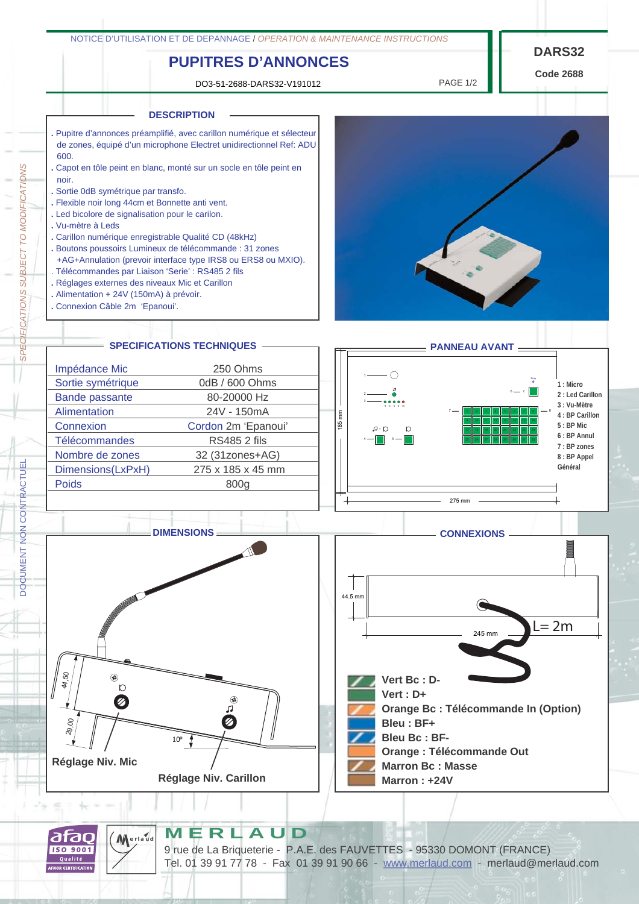# **PUPITRES D'ANNONCES**

DO3-51-2688-DARS32-V191012 PAGE 1/2

**Code 2688**



### **MERLAUD**

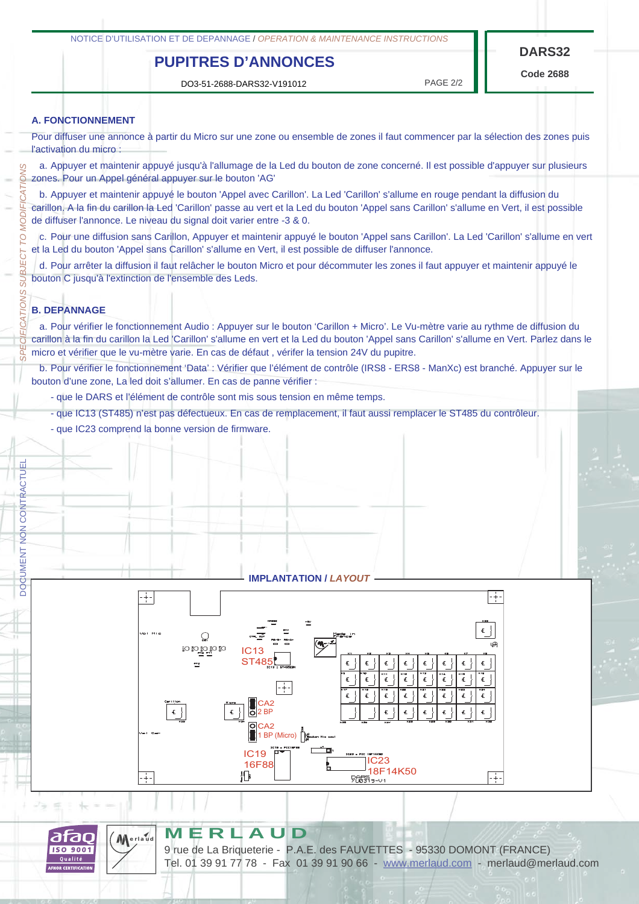## **PUPITRES D'ANNONCES**

DO3-51-2688-DARS32-V191012 PAGE 2/2

**Code 2688**

#### **A. FONCTIONNEMENT**

Pour diffuser une annonce à partir du Micro sur une zone ou ensemble de zones il faut commencer par la sélection des zones puis l'activation du micro :

a. Appuyer et maintenir appuyé jusqu'à l'allumage de la Led du bouton de zone concerné. Il est possible d'appuyer sur plusieurs gones. Appuyer et maintenir appuyé jusqu'à l'allumage de la<br>Cones. Pour un Appel général appuyer sur le bouton 'AG'

DOCUMENT NON CONTRACTUEL *SPECIFICATIONS SUBJECT TO MODIFICATIONS* **MODIFICA** b. Appuyer et maintenir appuyé le bouton 'Appel avec Carillon'. La Led 'Carillon' s'allume en rouge pendant la diffusion du carillon. A la fin du carillon la Led 'Carillon' passe au vert et la Led du bouton 'Appel sans Carillon' s'allume en Vert, il est possible de diffuser l'annonce. Le niveau du signal doit varier entre -3 & 0.

c. Pour une diffusion sans Carillon, Appuyer et maintenir appuyé le bouton 'Appel sans Carillon'. La Led 'Carillon' s'allume en vert et la Led du bouton 'Appel sans Carillon' s'allume en Vert, il est possible de diffuser l'annonce.

d. Pour arrêter la diffusion il faut relâcher le bouton Micro et pour décommuter les zones il faut appuyer et maintenir appuyé le bouton C jusqu'à l'extinction de l'ensemble des Leds.

#### **B. DEPANNAGE**

p **IECT** SU<sub>B</sub>

TIONS 3

**DOCUMENT NON CONTRACTUEL** 

a. Pour vérifier le fonctionnement Audio : Appuyer sur le bouton 'Carillon + Micro'. Le Vu-mètre varie au rythme de diffusion du carillon à la fin du carillon la Led 'Carillon' s'allume en vert et la Led du bouton 'Appel sans Carillon' s'allume en Vert. Parlez dans le micro et vérifier que le vu-mètre varie. En cas de défaut , vérifer la tension 24V du pupitre.

b. Pour vérifier le fonctionnement 'Data' : Vérifier que l'élément de contrôle (IRS8 - ERS8 - ManXc) est branché. Appuyer sur le bouton d'une zone, La led doit s'allumer. En cas de panne vérifier :

- que le DARS et l'élément de contrôle sont mis sous tension en même temps.
- que IC13 (ST485) n'est pas défectueux. En cas de remplacement, il faut aussi remplacer le ST485 du contrôleur.
- que IC23 comprend la bonne version de firmware.

#### **IMPLANTATION /** *LAYOUT*





**erlaud**

#### **MERLAUD**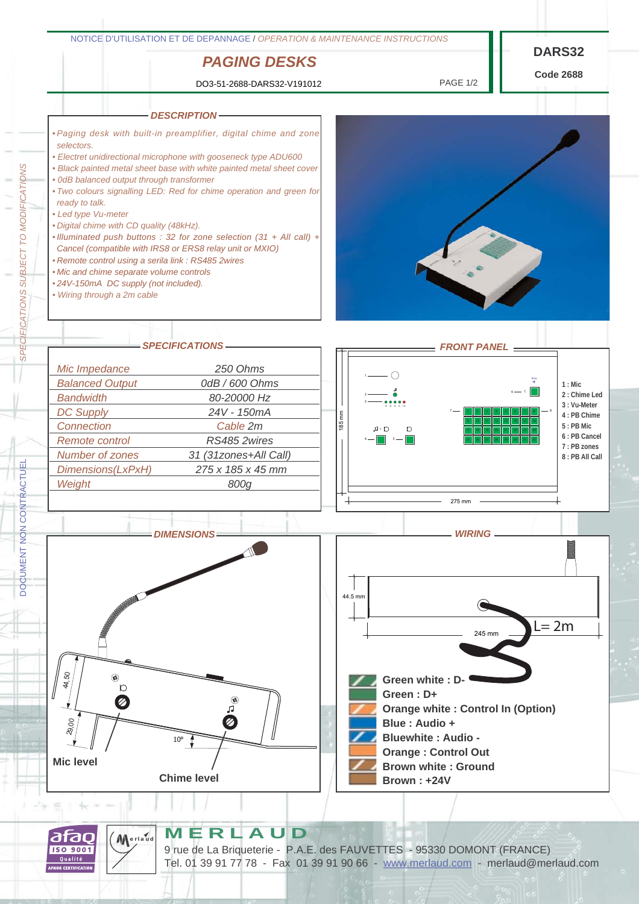

**MERLAUD**